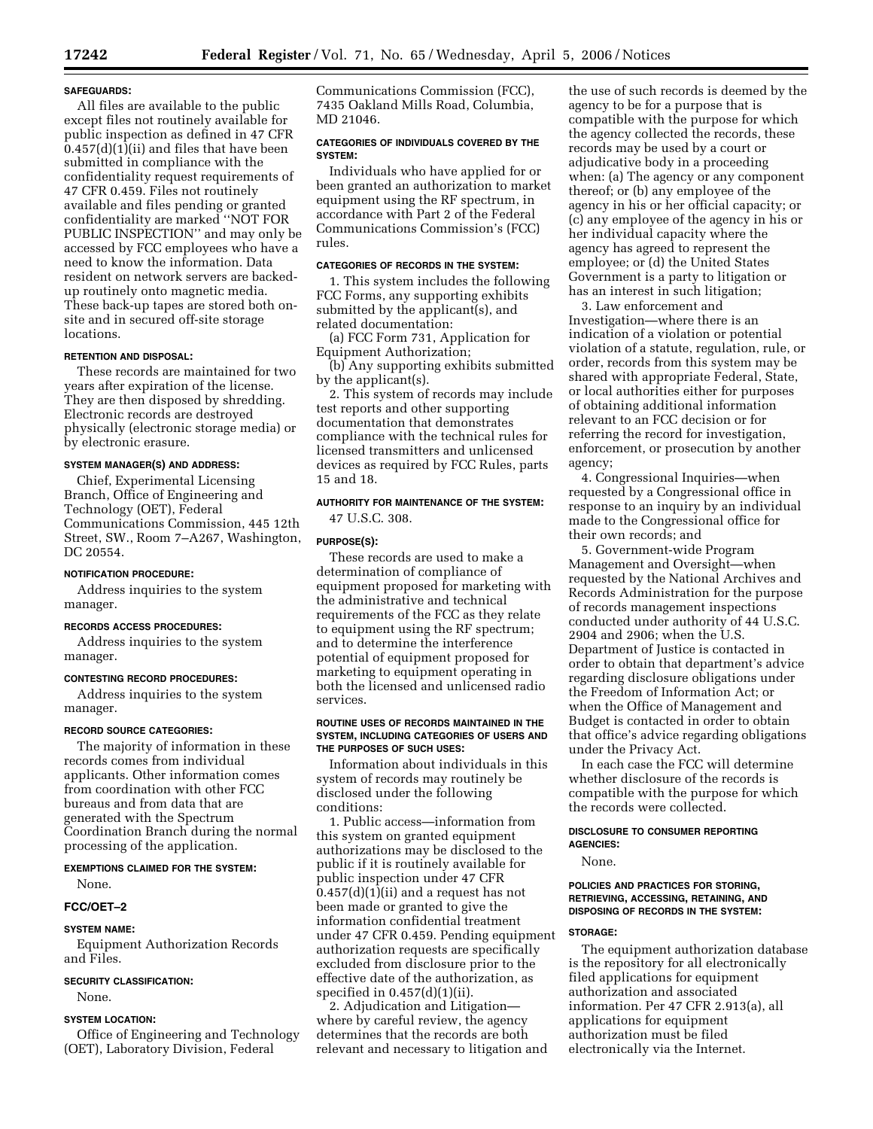## **SAFEGUARDS:**

All files are available to the public except files not routinely available for public inspection as defined in 47 CFR 0.457(d)(1)(ii) and files that have been submitted in compliance with the confidentiality request requirements of 47 CFR 0.459. Files not routinely available and files pending or granted confidentiality are marked ''NOT FOR PUBLIC INSPECTION'' and may only be accessed by FCC employees who have a need to know the information. Data resident on network servers are backedup routinely onto magnetic media. These back-up tapes are stored both onsite and in secured off-site storage locations.

#### **RETENTION AND DISPOSAL:**

These records are maintained for two years after expiration of the license. They are then disposed by shredding. Electronic records are destroyed physically (electronic storage media) or by electronic erasure.

## **SYSTEM MANAGER(S) AND ADDRESS:**

Chief, Experimental Licensing Branch, Office of Engineering and Technology (OET), Federal Communications Commission, 445 12th Street, SW., Room 7–A267, Washington, DC 20554.

#### **NOTIFICATION PROCEDURE:**

Address inquiries to the system manager.

## **RECORDS ACCESS PROCEDURES:**

Address inquiries to the system manager.

## **CONTESTING RECORD PROCEDURES:**

Address inquiries to the system manager.

## **RECORD SOURCE CATEGORIES:**

The majority of information in these records comes from individual applicants. Other information comes from coordination with other FCC bureaus and from data that are generated with the Spectrum Coordination Branch during the normal processing of the application.

# **EXEMPTIONS CLAIMED FOR THE SYSTEM:**

None.

## **FCC/OET–2**

## **SYSTEM NAME:**

Equipment Authorization Records and Files.

#### **SECURITY CLASSIFICATION:**

None.

## **SYSTEM LOCATION:**

Office of Engineering and Technology (OET), Laboratory Division, Federal

Communications Commission (FCC), 7435 Oakland Mills Road, Columbia, MD 21046.

#### **CATEGORIES OF INDIVIDUALS COVERED BY THE SYSTEM:**

Individuals who have applied for or been granted an authorization to market equipment using the RF spectrum, in accordance with Part 2 of the Federal Communications Commission's (FCC) rules.

#### **CATEGORIES OF RECORDS IN THE SYSTEM:**

1. This system includes the following FCC Forms, any supporting exhibits submitted by the applicant(s), and related documentation:

(a) FCC Form 731, Application for Equipment Authorization;

(b) Any supporting exhibits submitted by the applicant(s).

2. This system of records may include test reports and other supporting documentation that demonstrates compliance with the technical rules for licensed transmitters and unlicensed devices as required by FCC Rules, parts 15 and 18.

## **AUTHORITY FOR MAINTENANCE OF THE SYSTEM:**  47 U.S.C. 308.

## **PURPOSE(S):**

These records are used to make a determination of compliance of equipment proposed for marketing with the administrative and technical requirements of the FCC as they relate to equipment using the RF spectrum; and to determine the interference potential of equipment proposed for marketing to equipment operating in both the licensed and unlicensed radio services.

#### **ROUTINE USES OF RECORDS MAINTAINED IN THE SYSTEM, INCLUDING CATEGORIES OF USERS AND THE PURPOSES OF SUCH USES:**

Information about individuals in this system of records may routinely be disclosed under the following conditions:

1. Public access—information from this system on granted equipment authorizations may be disclosed to the public if it is routinely available for public inspection under 47 CFR  $0.457(d)(1)(ii)$  and a request has not been made or granted to give the information confidential treatment under 47 CFR 0.459. Pending equipment authorization requests are specifically excluded from disclosure prior to the effective date of the authorization, as specified in  $0.457(d)(1)(ii)$ .

2. Adjudication and Litigation where by careful review, the agency determines that the records are both relevant and necessary to litigation and

the use of such records is deemed by the agency to be for a purpose that is compatible with the purpose for which the agency collected the records, these records may be used by a court or adjudicative body in a proceeding when: (a) The agency or any component thereof; or (b) any employee of the agency in his or her official capacity; or (c) any employee of the agency in his or her individual capacity where the agency has agreed to represent the employee; or (d) the United States Government is a party to litigation or has an interest in such litigation;

3. Law enforcement and Investigation—where there is an indication of a violation or potential violation of a statute, regulation, rule, or order, records from this system may be shared with appropriate Federal, State, or local authorities either for purposes of obtaining additional information relevant to an FCC decision or for referring the record for investigation, enforcement, or prosecution by another agency;

4. Congressional Inquiries—when requested by a Congressional office in response to an inquiry by an individual made to the Congressional office for their own records; and

5. Government-wide Program Management and Oversight—when requested by the National Archives and Records Administration for the purpose of records management inspections conducted under authority of 44 U.S.C. 2904 and 2906; when the U.S. Department of Justice is contacted in order to obtain that department's advice regarding disclosure obligations under the Freedom of Information Act; or when the Office of Management and Budget is contacted in order to obtain that office's advice regarding obligations under the Privacy Act.

In each case the FCC will determine whether disclosure of the records is compatible with the purpose for which the records were collected.

## **DISCLOSURE TO CONSUMER REPORTING AGENCIES:**

None.

#### **POLICIES AND PRACTICES FOR STORING, RETRIEVING, ACCESSING, RETAINING, AND DISPOSING OF RECORDS IN THE SYSTEM:**

## **STORAGE:**

The equipment authorization database is the repository for all electronically filed applications for equipment authorization and associated information. Per 47 CFR 2.913(a), all applications for equipment authorization must be filed electronically via the Internet.